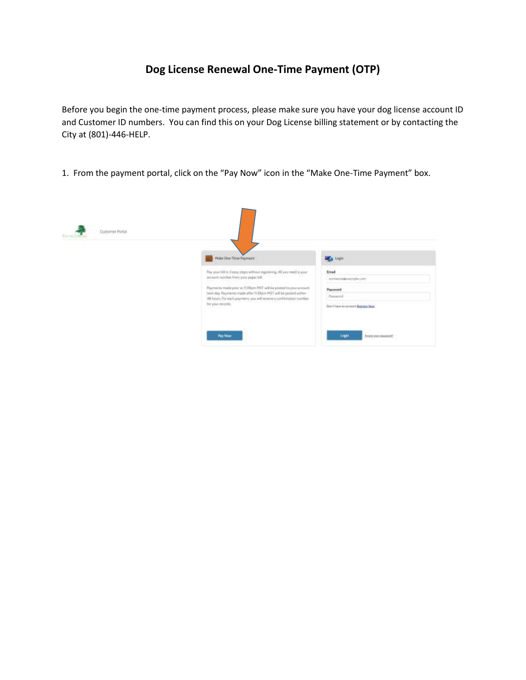## **Dog License Renewal One-Time Payment (OTP)**

Before you begin the one-time payment process, please make sure you have your dog license account ID and Customer ID numbers. You can find this on your Dog License billing statement or by contacting the City at (801)-446-HELP.

1. From the payment portal, click on the "Pay Now" icon in the "Make One-Time Payment" box.

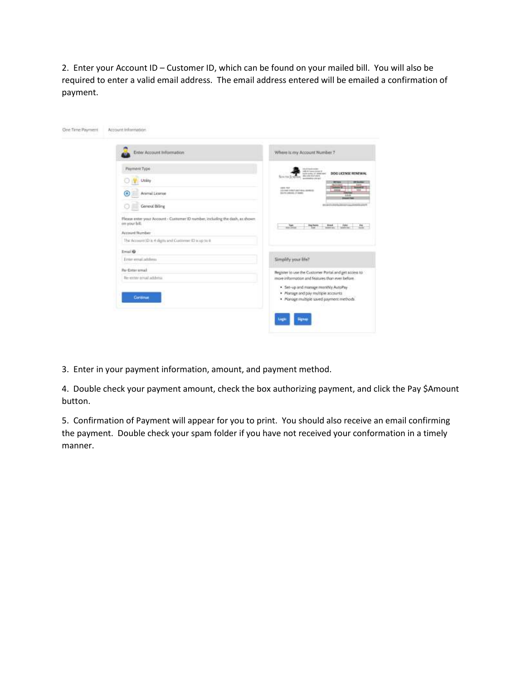2. Enter your Account ID – Customer ID, which can be found on your mailed bill. You will also be required to enter a valid email address. The email address entered will be emailed a confirmation of payment.

| Enter Account Information                                                                                        | Where is my Account Number 7                                                                                                               |
|------------------------------------------------------------------------------------------------------------------|--------------------------------------------------------------------------------------------------------------------------------------------|
| Payment Type                                                                                                     | <b>Industrial Automotive</b><br>(all) in frame player (i)<br>DOG LICENSE RENEWAL                                                           |
| Utility                                                                                                          | Microwreck Policies<br>Sintras Sc<br>accomplish ship and                                                                                   |
| ◉<br>Anmal Leense                                                                                                | <b>DEED FEST</b><br>LECTRAL EDGE EXECUTIVE ARMENTS<br>DOUTS LONGIS CT-AME                                                                  |
| General Billing                                                                                                  | <b>BYANTHRATA (SEED) AAAJOINTA AREE</b>                                                                                                    |
| Please enter your Account - Customer (D number, including the dash, as shown.<br>on your bill.<br>Account Number | <b>Hybre</b><br>$\mathcal{L}_{\text{max}}$<br><b>STATE COMPANY</b><br>m.                                                                   |
| The Account ID is 4 digits and Customer 43 to up to 6                                                            |                                                                                                                                            |
| Email O                                                                                                          |                                                                                                                                            |
| Enter errori address                                                                                             | Simplify your life?<br>A Service Print                                                                                                     |
| Re-Emir imal                                                                                                     | Register to use the Customer Portal and get access to                                                                                      |
| Re-error emal address                                                                                            | more information and features than ever before                                                                                             |
| Continue                                                                                                         | . Set-up and manage monthly AutoPay<br>· Manage and pay multiple accounts<br>· Manage multiple saved payment methods.<br><b>CONTRACTOR</b> |

3. Enter in your payment information, amount, and payment method.

4. Double check your payment amount, check the box authorizing payment, and click the Pay \$Amount button.

5. Confirmation of Payment will appear for you to print. You should also receive an email confirming the payment. Double check your spam folder if you have not received your conformation in a timely manner.